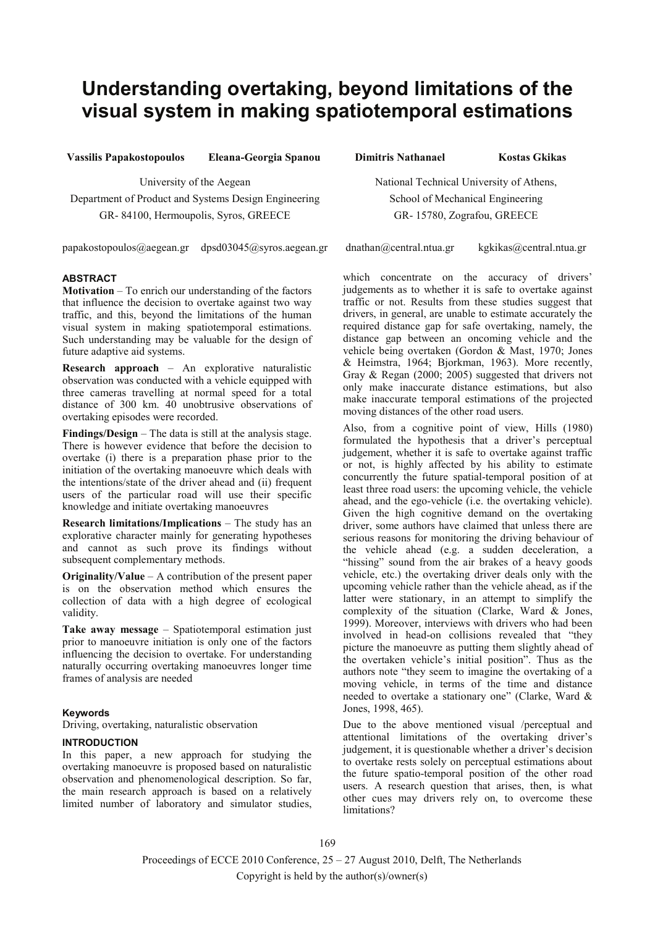# **Understanding overtaking, beyond limitations of the visual system in making spatiotemporal estimations**

**Vassilis Papakostopoulos Eleana-Georgia Spanou Dimitris Nathanael Kostas Gkikas**

University of the Aegean Department of Product and Systems Design Engineering GR- 84100, Hermoupolis, Syros, GREECE

papakostopoulos@aegean.gr dpsd03045@syros.aegean.gr dnathan@central.ntua.gr kgkikas@central.ntua.gr

# **ABSTRACT**

**Motivation** – To enrich our understanding of the factors that influence the decision to overtake against two way traffic, and this, beyond the limitations of the human visual system in making spatiotemporal estimations. Such understanding may be valuable for the design of future adaptive aid systems.

**Research approach** – An explorative naturalistic observation was conducted with a vehicle equipped with three cameras travelling at normal speed for a total distance of 300 km. 40 unobtrusive observations of overtaking episodes were recorded.

**Findings/Design** – The data is still at the analysis stage. There is however evidence that before the decision to overtake (i) there is a preparation phase prior to the initiation of the overtaking manoeuvre which deals with the intentions/state of the driver ahead and (ii) frequent users of the particular road will use their specific knowledge and initiate overtaking manoeuvres

**Research limitations/Implications** – The study has an explorative character mainly for generating hypotheses and cannot as such prove its findings without subsequent complementary methods.

**Originality/Value** – A contribution of the present paper is on the observation method which ensures the collection of data with a high degree of ecological validity.

**Take away message** – Spatiotemporal estimation just prior to manoeuvre initiation is only one of the factors influencing the decision to overtake. For understanding naturally occurring overtaking manoeuvres longer time frames of analysis are needed

## **Keywords**

Driving, overtaking, naturalistic observation

# **INTRODUCTION**

In this paper, a new approach for studying the overtaking manoeuvre is proposed based on naturalistic observation and phenomenological description. So far, the main research approach is based on a relatively limited number of laboratory and simulator studies,

National Technical University of Athens, School of Mechanical Engineering GR- 15780, Zografou, GREECE

which concentrate on the accuracy of drivers' judgements as to whether it is safe to overtake against traffic or not. Results from these studies suggest that drivers, in general, are unable to estimate accurately the required distance gap for safe overtaking, namely, the distance gap between an oncoming vehicle and the vehicle being overtaken (Gordon & Mast, 1970; Jones & Heimstra, 1964; Bjorkman, 1963). More recently, Gray & Regan (2000; 2005) suggested that drivers not only make inaccurate distance estimations, but also make inaccurate temporal estimations of the projected moving distances of the other road users.

Also, from a cognitive point of view, Hills (1980) formulated the hypothesis that a driver's perceptual judgement, whether it is safe to overtake against traffic or not, is highly affected by his ability to estimate concurrently the future spatial-temporal position of at least three road users: the upcoming vehicle, the vehicle ahead, and the ego-vehicle (i.e. the overtaking vehicle). Given the high cognitive demand on the overtaking driver, some authors have claimed that unless there are serious reasons for monitoring the driving behaviour of the vehicle ahead (e.g. a sudden deceleration, a "hissing" sound from the air brakes of a heavy goods vehicle, etc.) the overtaking driver deals only with the upcoming vehicle rather than the vehicle ahead, as if the latter were stationary, in an attempt to simplify the complexity of the situation (Clarke, Ward & Jones, 1999). Moreover, interviews with drivers who had been involved in head-on collisions revealed that "they picture the manoeuvre as putting them slightly ahead of the overtaken vehicle's initial position". Thus as the authors note "they seem to imagine the overtaking of a moving vehicle, in terms of the time and distance needed to overtake a stationary one" (Clarke, Ward & Jones, 1998, 465).

Due to the above mentioned visual /perceptual and attentional limitations of the overtaking driver's judgement, it is questionable whether a driver's decision to overtake rests solely on perceptual estimations about the future spatio-temporal position of the other road users. A research question that arises, then, is what other cues may drivers rely on, to overcome these limitations?

Proceedings of ECCE 2010 Conference, 25 – 27 August 2010, Delft, The Netherlands Copyright is held by the author(s)/owner(s)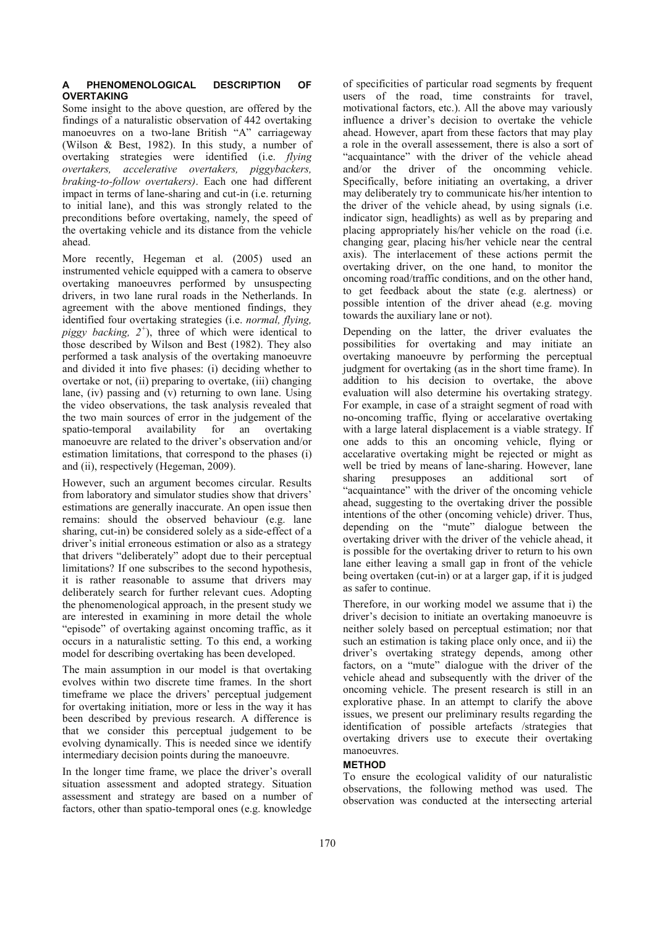#### PHENOMENOLOGICAL DESCRIPTION OF **OVERTAKING**

Some insight to the above question, are offered by the findings of a naturalistic observation of 442 overtaking manoeuvres on a two-lane British "A" carriageway (Wilson & Best, 1982). In this study, a number of overtaking strategies were identified (i.e. *flying overtakers, accelerative overtakers, piggybackers, braking-to-follow overtakers)*. Each one had different impact in terms of lane-sharing and cut-in (i.e. returning to initial lane), and this was strongly related to the preconditions before overtaking, namely, the speed of the overtaking vehicle and its distance from the vehicle ahead.

More recently, Hegeman et al. (2005) used an instrumented vehicle equipped with a camera to observe overtaking manoeuvres performed by unsuspecting drivers, in two lane rural roads in the Netherlands. In agreement with the above mentioned findings, they identified four overtaking strategies (i.e. *normal, flying, piggy backing, 2<sup>+</sup>* ), three of which were identical to those described by Wilson and Best (1982). They also performed a task analysis of the overtaking manoeuvre and divided it into five phases: (i) deciding whether to overtake or not, (ii) preparing to overtake, (iii) changing lane, (iv) passing and (v) returning to own lane. Using the video observations, the task analysis revealed that the two main sources of error in the judgement of the spatio-temporal availability for an overtaking manoeuvre are related to the driver's observation and/or estimation limitations, that correspond to the phases (i) and (ii), respectively (Hegeman, 2009).

However, such an argument becomes circular. Results from laboratory and simulator studies show that drivers' estimations are generally inaccurate. An open issue then remains: should the observed behaviour (e.g. lane sharing, cut-in) be considered solely as a side-effect of a driver's initial erroneous estimation or also as a strategy that drivers "deliberately" adopt due to their perceptual limitations? If one subscribes to the second hypothesis, it is rather reasonable to assume that drivers may deliberately search for further relevant cues. Adopting the phenomenological approach, in the present study we are interested in examining in more detail the whole "episode" of overtaking against oncoming traffic, as it occurs in a naturalistic setting. To this end, a working model for describing overtaking has been developed.

The main assumption in our model is that overtaking evolves within two discrete time frames. In the short timeframe we place the drivers' perceptual judgement for overtaking initiation, more or less in the way it has been described by previous research. A difference is that we consider this perceptual judgement to be evolving dynamically. This is needed since we identify intermediary decision points during the manoeuvre.

In the longer time frame, we place the driver's overall situation assessment and adopted strategy. Situation assessment and strategy are based on a number of factors, other than spatio-temporal ones (e.g. knowledge of specificities of particular road segments by frequent users of the road, time constraints for travel, motivational factors, etc.). All the above may variously influence a driver's decision to overtake the vehicle ahead. However, apart from these factors that may play a role in the overall assessement, there is also a sort of "acquaintance" with the driver of the vehicle ahead and/or the driver of the oncomming vehicle. Specifically, before initiating an overtaking, a driver may deliberately try to communicate his/her intention to the driver of the vehicle ahead, by using signals (i.e. indicator sign, headlights) as well as by preparing and placing appropriately his/her vehicle on the road (i.e. changing gear, placing his/her vehicle near the central axis). The interlacement of these actions permit the overtaking driver, on the one hand, to monitor the oncoming road/traffic conditions, and on the other hand, to get feedback about the state (e.g. alertness) or possible intention of the driver ahead (e.g. moving towards the auxiliary lane or not).

Depending on the latter, the driver evaluates the possibilities for overtaking and may initiate an overtaking manoeuvre by performing the perceptual judgment for overtaking (as in the short time frame). In addition to his decision to overtake, the above evaluation will also determine his overtaking strategy. For example, in case of a straight segment of road with no-oncoming traffic, flying or accelarative overtaking with a large lateral displacement is a viable strategy. If one adds to this an oncoming vehicle, flying or accelarative overtaking might be rejected or might as well be tried by means of lane-sharing. However, lane sharing presupposes an additional sort of "acquaintance" with the driver of the oncoming vehicle ahead, suggesting to the overtaking driver the possible intentions of the other (oncoming vehicle) driver. Thus, depending on the "mute" dialogue between the overtaking driver with the driver of the vehicle ahead, it is possible for the overtaking driver to return to his own lane either leaving a small gap in front of the vehicle being overtaken (cut-in) or at a larger gap, if it is judged as safer to continue.

Therefore, in our working model we assume that i) the driver's decision to initiate an overtaking manoeuvre is neither solely based on perceptual estimation; nor that such an estimation is taking place only once, and ii) the driver's overtaking strategy depends, among other factors, on a "mute" dialogue with the driver of the vehicle ahead and subsequently with the driver of the oncoming vehicle. The present research is still in an explorative phase. In an attempt to clarify the above issues, we present our preliminary results regarding the identification of possible artefacts /strategies that overtaking drivers use to execute their overtaking manoeuvres.

## **METHOD**

To ensure the ecological validity of our naturalistic observations, the following method was used. The observation was conducted at the intersecting arterial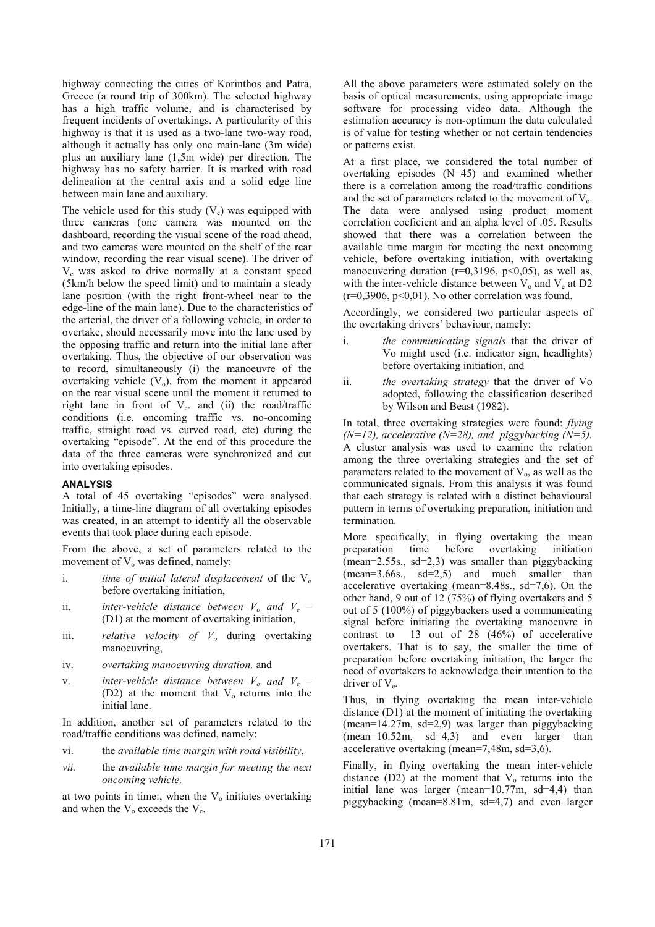highway connecting the cities of Korinthos and Patra, Greece (a round trip of 300km). The selected highway has a high traffic volume, and is characterised by frequent incidents of overtakings. A particularity of this highway is that it is used as a two-lane two-way road, although it actually has only one main-lane (3m wide) plus an auxiliary lane (1,5m wide) per direction. The highway has no safety barrier. It is marked with road delineation at the central axis and a solid edge line between main lane and auxiliary.

The vehicle used for this study  $(V_e)$  was equipped with three cameras (one camera was mounted on the dashboard, recording the visual scene of the road ahead, and two cameras were mounted on the shelf of the rear window, recording the rear visual scene). The driver of Ve was asked to drive normally at a constant speed (5km/h below the speed limit) and to maintain a steady lane position (with the right front-wheel near to the edge-line of the main lane). Due to the characteristics of the arterial, the driver of a following vehicle, in order to overtake, should necessarily move into the lane used by the opposing traffic and return into the initial lane after overtaking. Thus, the objective of our observation was to record, simultaneously (i) the manoeuvre of the overtaking vehicle  $(V_0)$ , from the moment it appeared on the rear visual scene until the moment it returned to right lane in front of V<sub>e</sub>. and (ii) the road/traffic conditions (i.e. oncoming traffic vs. no-oncoming traffic, straight road vs. curved road, etc) during the overtaking "episode". At the end of this procedure the data of the three cameras were synchronized and cut into overtaking episodes.

#### **ANALYSIS**

A total of 45 overtaking "episodes" were analysed. Initially, a time-line diagram of all overtaking episodes was created, in an attempt to identify all the observable events that took place during each episode.

From the above, a set of parameters related to the movement of  $V_0$  was defined, namely:

- i. *time of initial lateral displacement* of the  $V_0$ before overtaking initiation,
- ii. *inter-vehicle distance between*  $V_o$  and  $V_e$  (D1) at the moment of overtaking initiation,
- iii. *relative velocity of V<sub>o</sub>* during overtaking manoeuvring,
- iv. *overtaking manoeuvring duration,* and
- v. *inter-vehicle distance between*  $V_o$  and  $V_e$  (D2) at the moment that  $V_0$  returns into the initial lane.

In addition, another set of parameters related to the road/traffic conditions was defined, namely:

- vi. the *available time margin with road visibility*,
- *vii.* the *available time margin for meeting the next oncoming vehicle,*

at two points in time:, when the  $V_0$  initiates overtaking and when the  $V_0$  exceeds the  $V_e$ .

All the above parameters were estimated solely on the basis of optical measurements, using appropriate image software for processing video data. Although the estimation accuracy is non-optimum the data calculated is of value for testing whether or not certain tendencies or patterns exist.

At a first place, we considered the total number of overtaking episodes (N=45) and examined whether there is a correlation among the road/traffic conditions and the set of parameters related to the movement of  $V<sub>o</sub>$ . The data were analysed using product moment correlation coeficient and an alpha level of .05. Results showed that there was a correlation between the available time margin for meeting the next oncoming vehicle, before overtaking initiation, with overtaking manoeuvering duration ( $r=0,3196$ ,  $p<0,05$ ), as well as, with the inter-vehicle distance between  $V_0$  and  $V_e$  at D2  $(r=0.3906, p<0.01)$ . No other correlation was found.

Accordingly, we considered two particular aspects of the overtaking drivers' behaviour, namely:

- i. *the communicating signals* that the driver of Vo might used (i.e. indicator sign, headlights) before overtaking initiation, and
- ii. *the overtaking strategy* that the driver of Vo adopted, following the classification described by Wilson and Beast (1982).

In total, three overtaking strategies were found: *flying (N=12), accelerative (N=28), and piggybacking (N=5).*  A cluster analysis was used to examine the relation among the three overtaking strategies and the set of parameters related to the movement of  $V_0$ , as well as the communicated signals. From this analysis it was found that each strategy is related with a distinct behavioural pattern in terms of overtaking preparation, initiation and termination.

More specifically, in flying overtaking the mean preparation time before overtaking initiation  $(mean=2.55s., sd=2,3)$  was smaller than piggybacking (mean=3.66s., sd=2,5) and much smaller than accelerative overtaking (mean=8.48s., sd=7,6). On the other hand, 9 out of 12 (75%) of flying overtakers and 5 out of 5 (100%) of piggybackers used a communicating signal before initiating the overtaking manoeuvre in contrast to 13 out of 28 (46%) of accelerative overtakers. That is to say, the smaller the time of preparation before overtaking initiation, the larger the need of overtakers to acknowledge their intention to the driver of  $V_e$ .

Thus, in flying overtaking the mean inter-vehicle distance (D1) at the moment of initiating the overtaking (mean=14.27m, sd=2,9) was larger than piggybacking  $(mean=10.52m, sd=4,3)$  and even larger than accelerative overtaking (mean=7,48m, sd=3,6).

Finally, in flying overtaking the mean inter-vehicle distance  $(D2)$  at the moment that  $V_0$  returns into the initial lane was larger (mean= $10.77$ m, sd= $4,4$ ) than piggybacking (mean=8.81m, sd=4,7) and even larger